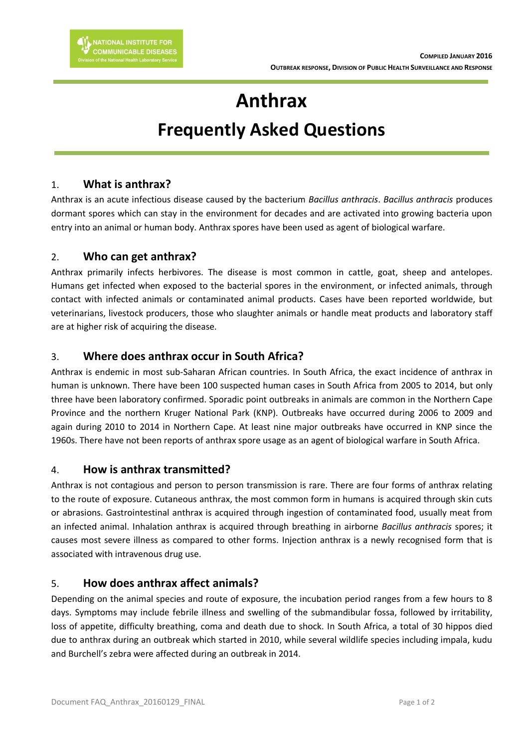# **Anthrax Frequently Asked Questions**

## 1. **What is anthrax?**

Anthrax is an acute infectious disease caused by the bacterium *Bacillus anthracis*. *Bacillus anthracis* produces dormant spores which can stay in the environment for decades and are activated into growing bacteria upon entry into an animal or human body. Anthrax spores have been used as agent of biological warfare.

# 2. **Who can get anthrax?**

Anthrax primarily infects herbivores. The disease is most common in cattle, goat, sheep and antelopes. Humans get infected when exposed to the bacterial spores in the environment, or infected animals, through contact with infected animals or contaminated animal products. Cases have been reported worldwide, but veterinarians, livestock producers, those who slaughter animals or handle meat products and laboratory staff are at higher risk of acquiring the disease.

# 3. **Where does anthrax occur in South Africa?**

Anthrax is endemic in most sub-Saharan African countries. In South Africa, the exact incidence of anthrax in human is unknown. There have been 100 suspected human cases in South Africa from 2005 to 2014, but only three have been laboratory confirmed. Sporadic point outbreaks in animals are common in the Northern Cape Province and the northern Kruger National Park (KNP). Outbreaks have occurred during 2006 to 2009 and again during 2010 to 2014 in Northern Cape. At least nine major outbreaks have occurred in KNP since the 1960s. There have not been reports of anthrax spore usage as an agent of biological warfare in South Africa.

## 4. **How is anthrax transmitted?**

Anthrax is not contagious and person to person transmission is rare. There are four forms of anthrax relating to the route of exposure. Cutaneous anthrax, the most common form in humans is acquired through skin cuts or abrasions. Gastrointestinal anthrax is acquired through ingestion of contaminated food, usually meat from an infected animal. Inhalation anthrax is acquired through breathing in airborne *Bacillus anthracis* spores; it causes most severe illness as compared to other forms. Injection anthrax is a newly recognised form that is associated with intravenous drug use.

## 5. **How does anthrax affect animals?**

Depending on the animal species and route of exposure, the incubation period ranges from a few hours to 8 days. Symptoms may include febrile illness and swelling of the submandibular fossa, followed by irritability, loss of appetite, difficulty breathing, coma and death due to shock. In South Africa, a total of 30 hippos died due to anthrax during an outbreak which started in 2010, while several wildlife species including impala, kudu and Burchell's zebra were affected during an outbreak in 2014.